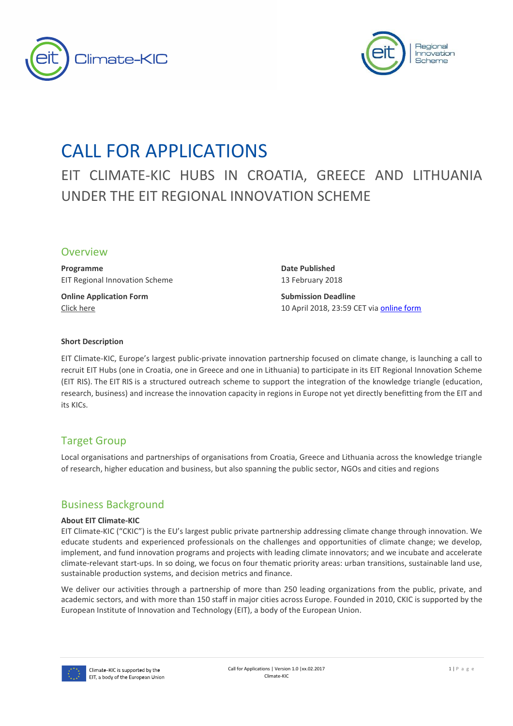



# CALL FOR APPLICATIONS

EIT CLIMATE-KIC HUBS IN CROATIA, GREECE AND LITHUANIA UNDER THE EIT REGIONAL INNOVATION SCHEME

### **Overview**

**Programme Date Published** EIT Regional Innovation Scheme 13 February 2018

**Online Application Form Submission Deadline** 

[Click here](https://www.123formbuilder.com/form-3387818/) 10 April 2018, 23:59 CET vi[a online form](https://www.123formbuilder.com/form-3387818/)

#### **Short Description**

EIT Climate-KIC, Europe's largest public-private innovation partnership focused on climate change, is launching a call to recruit EIT Hubs (one in Croatia, one in Greece and one in Lithuania) to participate in its EIT Regional Innovation Scheme (EIT RIS). The EIT RIS is a structured outreach scheme to support the integration of the knowledge triangle (education, research, business) and increase the innovation capacity in regions in Europe not yet directly benefitting from the EIT and its KICs.

# Target Group

Local organisations and partnerships of organisations from Croatia, Greece and Lithuania across the knowledge triangle of research, higher education and business, but also spanning the public sector, NGOs and cities and regions

## Business Background

#### **About EIT Climate-KIC**

EIT Climate-KIC ("CKIC") is the EU's largest public private partnership addressing climate change through innovation. We educate students and experienced professionals on the challenges and opportunities of climate change; we develop, implement, and fund innovation programs and projects with leading climate innovators; and we incubate and accelerate climate-relevant start-ups. In so doing, we focus on four thematic priority areas: urban transitions, sustainable land use, sustainable production systems, and decision metrics and finance.

We deliver our activities through a partnership of more than 250 leading organizations from the public, private, and academic sectors, and with more than 150 staff in major cities across Europe. Founded in 2010, CKIC is supported by the European Institute of Innovation and Technology (EIT), a body of the European Union.

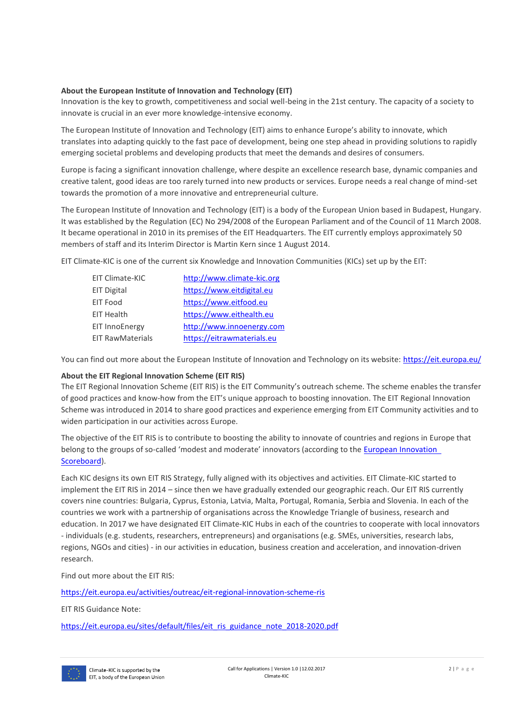#### **About the European Institute of Innovation and Technology (EIT)**

Innovation is the key to growth, competitiveness and social well-being in the 21st century. The capacity of a society to innovate is crucial in an ever more knowledge-intensive economy.

The European Institute of Innovation and Technology (EIT) aims to enhance Europe's ability to innovate, which translates into adapting quickly to the fast pace of development, being one step ahead in providing solutions to rapidly emerging societal problems and developing products that meet the demands and desires of consumers.

Europe is facing a significant innovation challenge, where despite an excellence research base, dynamic companies and creative talent, good ideas are too rarely turned into new products or services. Europe needs a real change of mind-set towards the promotion of a more innovative and entrepreneurial culture.

The European Institute of Innovation and Technology (EIT) is a body of the European Union based in Budapest, Hungary. It was established by the Regulation (EC) No 294/2008 of the European Parliament and of the Council of 11 March 2008. It became operational in 2010 in its premises of the [EIT Headquarters.](https://eit.europa.eu/eit-community/eit-headquarters) The EIT currently employs approximately 50 members of staff and its Interim Director is Martin Kern since 1 August 2014.

EIT Climate-KIC is one of the current six Knowledge and Innovation Communities (KICs) set up by the EIT:

| EIT Climate-KIC         | http://www.climate-kic.org |
|-------------------------|----------------------------|
| <b>EIT Digital</b>      | https://www.eitdigital.eu  |
| <b>EIT Food</b>         | https://www.eitfood.eu     |
| <b>EIT Health</b>       | https://www.eithealth.eu   |
| <b>EIT InnoEnergy</b>   | http://www.innoenergy.com  |
| <b>EIT RawMaterials</b> | https://eitrawmaterials.eu |
|                         |                            |

You can find out more about the European Institute of Innovation and Technology on its website:<https://eit.europa.eu/>

#### **About the EIT Regional Innovation Scheme (EIT RIS)**

The EIT Regional Innovation Scheme (EIT RIS) is the EIT Community's outreach scheme. The scheme enables the transfer of good practices and know-how from the EIT's unique approach to boosting innovation. The EIT Regional Innovation Scheme was introduced in 2014 to share good practices and experience emerging from EIT Community activities and to widen participation in our activities across Europe.

The objective of the EIT RIS is to contribute to boosting the ability to innovate of countries and regions in Europe that belong to the groups of so-called 'modest and moderate' innovators (according to the [European Innovation](http://ec.europa.eu/growth/industry/innovation/facts-figures/scoreboards_en)  [Scoreboard\)](http://ec.europa.eu/growth/industry/innovation/facts-figures/scoreboards_en).

Each KIC designs its own EIT RIS Strategy, fully aligned with its objectives and activities. EIT Climate-KIC started to implement the EIT RIS in 2014 – since then we have gradually extended our geographic reach. Our EIT RIS currently covers nine countries: Bulgaria, Cyprus, Estonia, Latvia, Malta, Portugal, Romania, Serbia and Slovenia. In each of the countries we work with a partnership of organisations across the Knowledge Triangle of business, research and education. In 2017 we have designated EIT Climate-KIC Hubs in each of the countries to cooperate with local innovators - individuals (e.g. students, researchers, entrepreneurs) and organisations (e.g. SMEs, universities, research labs, regions, NGOs and cities) - in our activities in education, business creation and acceleration, and innovation-driven research.

Find out more about the EIT RIS:

<https://eit.europa.eu/activities/outreac/eit-regional-innovation-scheme-ris>

EIT RIS Guidance Note:

[https://eit.europa.eu/sites/default/files/eit\\_ris\\_guidance\\_note\\_2018-2020.pdf](https://eit.europa.eu/sites/default/files/eit_ris_guidance_note_2018-2020.pdf)

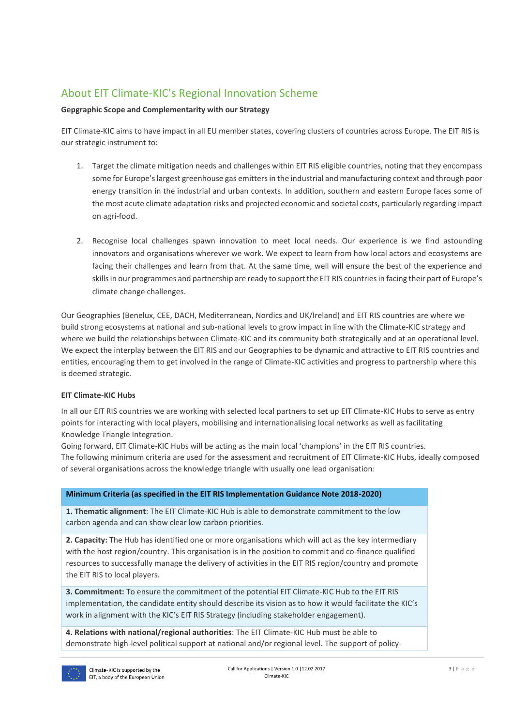# About EIT Climate-KIC's Regional Innovation Scheme

#### **Gepgraphic Scope and Complementarity with our Strategy**

EIT Climate-KIC aims to have impact in all EU member states, covering clusters of countries across Europe. The EIT RIS is our strategic instrument to:

- 1. Target the climate mitigation needs and challenges within EIT RIS eligible countries, noting that they encompass some for Europe's largest greenhouse gas emitters in the industrial and manufacturing context and through poor energy transition in the industrial and urban contexts. In addition, southern and eastern Europe faces some of the most acute climate adaptation risks and projected economic and societal costs, particularly regarding impact on agri-food.
- 2. Recognise local challenges spawn innovation to meet local needs. Our experience is we find astounding innovators and organisations wherever we work. We expect to learn from how local actors and ecosystems are facing their challenges and learn from that. At the same time, well will ensure the best of the experience and skills in our programmes and partnership are ready to support the EIT RIS countries in facing their part of Europe's climate change challenges.

Our Geographies (Benelux, CEE, DACH, Mediterranean, Nordics and UK/Ireland) and EIT RIS countries are where we build strong ecosystems at national and sub-national levels to grow impact in line with the Climate-KIC strategy and where we build the relationships between Climate-KIC and its community both strategically and at an operational level. We expect the interplay between the EIT RIS and our Geographies to be dynamic and attractive to EIT RIS countries and entities, encouraging them to get involved in the range of Climate-KIC activities and progress to partnership where this is deemed strategic.

#### **EIT Climate-KIC Hubs**

In all our EIT RIS countries we are working with selected local partners to set up EIT Climate-KIC Hubs to serve as entry points for interacting with local players, mobilising and internationalising local networks as well as facilitating Knowledge Triangle Integration.

Going forward, EIT Climate-KIC Hubs will be acting as the main local 'champions' in the EIT RIS countries. The following minimum criteria are used for the assessment and recruitment of EIT Climate-KIC Hubs, ideally composed

of several organisations across the knowledge triangle with usually one lead organisation:

#### **Minimum Criteria (as specified in the EIT RIS Implementation Guidance Note 2018-2020)**

**1. Thematic alignment**: The EIT Climate-KIC Hub is able to demonstrate commitment to the low carbon agenda and can show clear low carbon priorities.

**2. Capacity:** The Hub has identified one or more organisations which will act as the key intermediary with the host region/country. This organisation is in the position to commit and co-finance qualified resources to successfully manage the delivery of activities in the EIT RIS region/country and promote the EIT RIS to local players.

**3. Commitment:** To ensure the commitment of the potential EIT Climate-KIC Hub to the EIT RIS implementation, the candidate entity should describe its vision as to how it would facilitate the KIC's work in alignment with the KIC's EIT RIS Strategy (including stakeholder engagement).

**4. Relations with national/regional authorities**: The EIT Climate-KIC Hub must be able to demonstrate high-level political support at national and/or regional level. The support of policy-

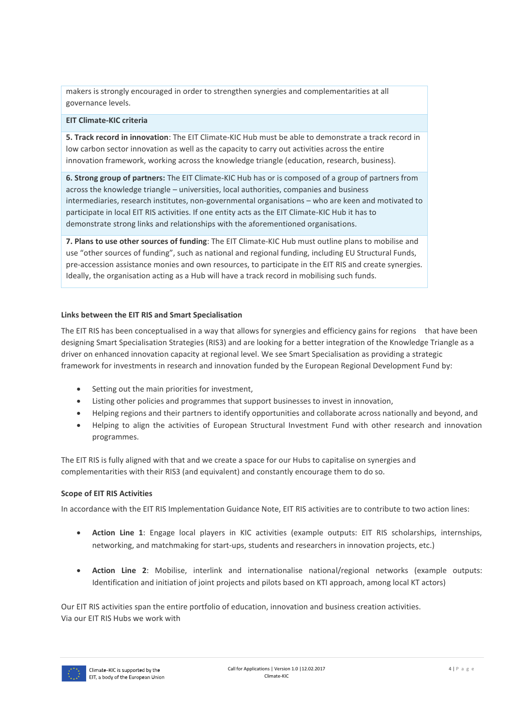makers is strongly encouraged in order to strengthen synergies and complementarities at all governance levels.

#### **EIT Climate-KIC criteria**

**5. Track record in innovation**: The EIT Climate-KIC Hub must be able to demonstrate a track record in low carbon sector innovation as well as the capacity to carry out activities across the entire innovation framework, working across the knowledge triangle (education, research, business).

**6. Strong group of partners:** The EIT Climate-KIC Hub has or is composed of a group of partners from across the knowledge triangle – universities, local authorities, companies and business intermediaries, research institutes, non-governmental organisations – who are keen and motivated to participate in local EIT RIS activities. If one entity acts as the EIT Climate-KIC Hub it has to demonstrate strong links and relationships with the aforementioned organisations.

**7. Plans to use other sources of funding**: The EIT Climate-KIC Hub must outline plans to mobilise and use "other sources of funding", such as national and regional funding, including EU Structural Funds, pre-accession assistance monies and own resources, to participate in the EIT RIS and create synergies. Ideally, the organisation acting as a Hub will have a track record in mobilising such funds.

#### **Links between the EIT RIS and Smart Specialisation**

The EIT RIS has been conceptualised in a way that allows for synergies and efficiency gains for regions that have been designing [Smart Specialisation Strategies](http://s3platform.jrc.ec.europa.eu/home;jsessionid=XB1STD1T3nHQDLCVBhcG8d6JDshtLxQVD2yGyg1rtnknHVZhsy1Q!1363157316!1401110414515) (RIS3) and are looking for a better integration of the Knowledge Triangle as a driver on enhanced innovation capacity at regional level. We see Smart Specialisation as providing a strategic framework for investments in research and innovation funded by the European Regional Development Fund by:

- Setting out the main priorities for investment,
- Listing other policies and programmes that support businesses to invest in innovation,
- Helping regions and their partners to identify opportunities and collaborate across nationally and beyond, and
- Helping to align the activities of European Structural Investment Fund with other research and innovation programmes.

The EIT RIS is fully aligned with that and we create a space for our Hubs to capitalise on synergies and complementarities with their RIS3 (and equivalent) and constantly encourage them to do so.

#### **Scope of EIT RIS Activities**

In accordance with the EIT RIS Implementation Guidance Note, EIT RIS activities are to contribute to two action lines:

- **Action Line 1**: Engage local players in KIC activities (example outputs: EIT RIS scholarships, internships, networking, and matchmaking for start-ups, students and researchers in innovation projects, etc.)
- **Action Line 2**: Mobilise, interlink and internationalise national/regional networks (example outputs: Identification and initiation of joint projects and pilots based on KTI approach, among local KT actors)

Our EIT RIS activities span the entire portfolio of education, innovation and business creation activities. Via our EIT RIS Hubs we work with

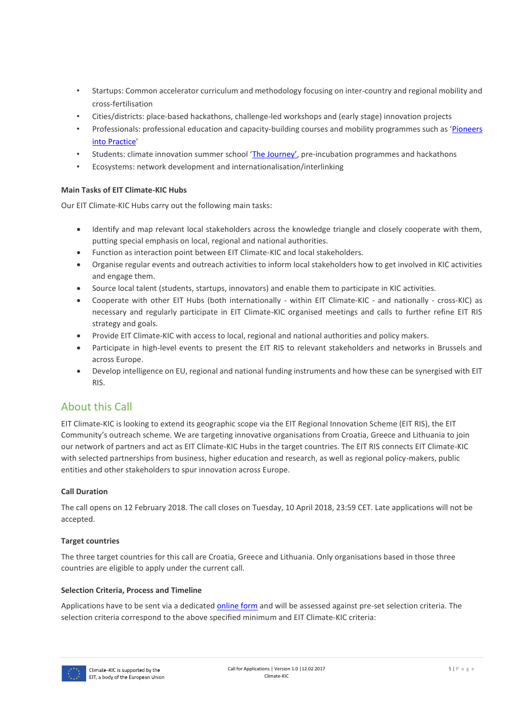- Startups: Common accelerator curriculum and methodology focusing on inter-country and regional mobility and cross-fertilisation
- Cities/districts: place-based hackathons, challenge-led workshops and (early stage) innovation projects
- Professionals: professional education and capacity-building courses and mobility programmes such as '[Pioneers](https://pioneers.climate-kic.org/)  [into Practice](https://pioneers.climate-kic.org/)'
- Students: climate innovation summer school ['The Journey'](https://journey.climate-kic.org/), pre-incubation programmes and hackathons
- Ecosystems: network development and internationalisation/interlinking

#### **Main Tasks of EIT Climate-KIC Hubs**

Our EIT Climate-KIC Hubs carry out the following main tasks:

- Identify and map relevant local stakeholders across the knowledge triangle and closely cooperate with them, putting special emphasis on local, regional and national authorities.
- Function as interaction point between EIT Climate-KIC and local stakeholders.
- Organise regular events and outreach activities to inform local stakeholders how to get involved in KIC activities and engage them.
- Source local talent (students, startups, innovators) and enable them to participate in KIC activities.
- Cooperate with other EIT Hubs (both internationally within EIT Climate-KIC and nationally cross-KIC) as necessary and regularly participate in EIT Climate-KIC organised meetings and calls to further refine EIT RIS strategy and goals.
- Provide EIT Climate-KIC with access to local, regional and national authorities and policy makers.
- Participate in high-level events to present the EIT RIS to relevant stakeholders and networks in Brussels and across Europe.
- Develop intelligence on EU, regional and national funding instruments and how these can be synergised with EIT RIS.

# About this Call

EIT Climate-KIC is looking to extend its geographic scope via the EIT Regional Innovation Scheme (EIT RIS), the EIT Community's outreach scheme. We are targeting innovative organisations from Croatia, Greece and Lithuania to join our network of partners and act as EIT Climate-KIC Hubs in the target countries. The EIT RIS connects EIT Climate-KIC with selected partnerships from business, higher education and research, as well as regional policy-makers, public entities and other stakeholders to spur innovation across Europe.

#### **Call Duration**

The call opens on 12 February 2018. The call closes on Tuesday, 10 April 2018, 23:59 CET. Late applications will not be accepted.

#### **Target countries**

The three target countries for this call are Croatia, Greece and Lithuania. Only organisations based in those three countries are eligible to apply under the current call.

#### **Selection Criteria, Process and Timeline**

Applications have to be sent via a dedicated **online form** and will be assessed against pre-set selection criteria. The selection criteria correspond to the above specified minimum and EIT Climate-KIC criteria:

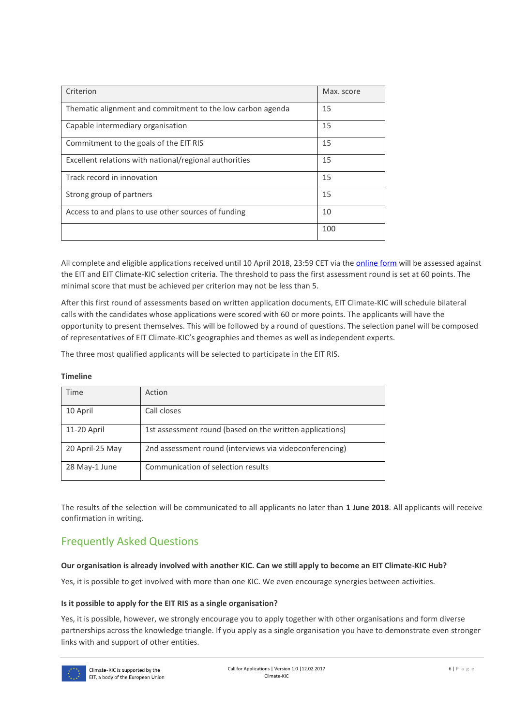| Criterion                                                  | Max. score |
|------------------------------------------------------------|------------|
| Thematic alignment and commitment to the low carbon agenda | 15         |
| Capable intermediary organisation                          | 15         |
| Commitment to the goals of the EIT RIS                     | 15         |
| Excellent relations with national/regional authorities     | 15         |
| Track record in innovation                                 | 15         |
| Strong group of partners                                   | 15         |
| Access to and plans to use other sources of funding        | 10         |
|                                                            | 100        |

All complete and eligible applications received until 10 April 2018, 23:59 CET via the *online form* will be assessed against the EIT and EIT Climate-KIC selection criteria. The threshold to pass the first assessment round is set at 60 points. The minimal score that must be achieved per criterion may not be less than 5.

After this first round of assessments based on written application documents, EIT Climate-KIC will schedule bilateral calls with the candidates whose applications were scored with 60 or more points. The applicants will have the opportunity to present themselves. This will be followed by a round of questions. The selection panel will be composed of representatives of EIT Climate-KIC's geographies and themes as well as independent experts.

The three most qualified applicants will be selected to participate in the EIT RIS.

#### **Timeline**

| Time            | Action                                                   |
|-----------------|----------------------------------------------------------|
| 10 April        | Call closes                                              |
| 11-20 April     | 1st assessment round (based on the written applications) |
| 20 April-25 May | 2nd assessment round (interviews via videoconferencing)  |
| 28 May-1 June   | Communication of selection results                       |

The results of the selection will be communicated to all applicants no later than **1 June 2018**. All applicants will receive confirmation in writing.

# Frequently Asked Questions

#### **Our organisation is already involved with another KIC. Can we still apply to become an EIT Climate-KIC Hub?**

Yes, it is possible to get involved with more than one KIC. We even encourage synergies between activities.

#### **Is it possible to apply for the EIT RIS as a single organisation?**

Yes, it is possible, however, we strongly encourage you to apply together with other organisations and form diverse partnerships across the knowledge triangle. If you apply as a single organisation you have to demonstrate even stronger links with and support of other entities.

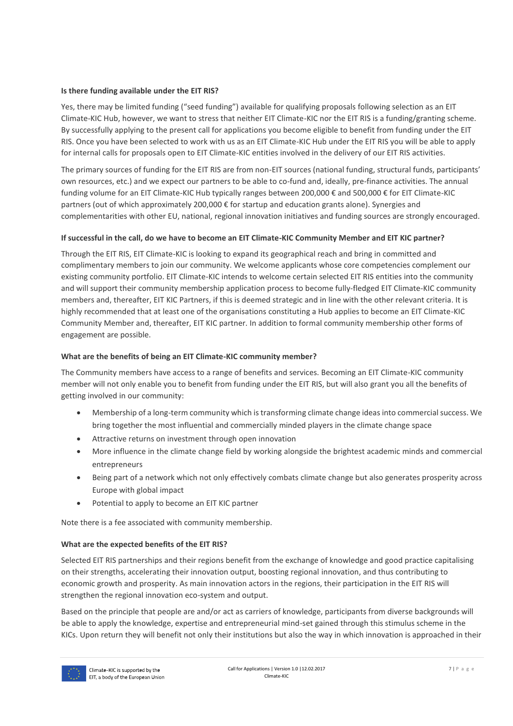#### **Is there funding available under the EIT RIS?**

Yes, there may be limited funding ("seed funding") available for qualifying proposals following selection as an EIT Climate-KIC Hub, however, we want to stress that neither EIT Climate-KIC nor the EIT RIS is a funding/granting scheme. By successfully applying to the present call for applications you become eligible to benefit from funding under the EIT RIS. Once you have been selected to work with us as an EIT Climate-KIC Hub under the EIT RIS you will be able to apply for internal calls for proposals open to EIT Climate-KIC entities involved in the delivery of our EIT RIS activities.

The primary sources of funding for the EIT RIS are from non-EIT sources (national funding, structural funds, participants' own resources, etc.) and we expect our partners to be able to co-fund and, ideally, pre-finance activities. The annual funding volume for an EIT Climate-KIC Hub typically ranges between 200,000 € and 500,000 € for EIT Climate-KIC partners (out of which approximately 200,000 € for startup and education grants alone). Synergies and complementarities with other EU, national, regional innovation initiatives and funding sources are strongly encouraged.

#### **If successful in the call, do we have to become an EIT Climate-KIC Community Member and EIT KIC partner?**

Through the EIT RIS, EIT Climate-KIC is looking to expand its geographical reach and bring in committed and complimentary members to join our community. We welcome applicants whose core competencies complement our existing community portfolio. EIT Climate-KIC intends to welcome certain selected EIT RIS entities into the community and will support their community membership application process to become fully-fledged EIT Climate-KIC community members and, thereafter, EIT KIC Partners, if this is deemed strategic and in line with the other relevant criteria. It is highly recommended that at least one of the organisations constituting a Hub applies to become an EIT Climate-KIC Community Member and, thereafter, EIT KIC partner. In addition to formal community membership other forms of engagement are possible.

#### **What are the benefits of being an EIT Climate-KIC community member?**

The Community members have access to a range of benefits and services. Becoming an EIT Climate-KIC community member will not only enable you to benefit from funding under the EIT RIS, but will also grant you all the benefits of getting involved in our community:

- Membership of a long-term community which is transforming climate change ideas into commercial success. We bring together the most influential and commercially minded players in the climate change space
- Attractive returns on investment through open innovation
- More influence in the climate change field by working alongside the brightest academic minds and commercial entrepreneurs
- Being part of a network which not only effectively combats climate change but also generates prosperity across Europe with global impact
- Potential to apply to become an EIT KIC partner

Note there is a fee associated with community membership.

#### **What are the expected benefits of the EIT RIS?**

Selected EIT RIS partnerships and their regions benefit from the exchange of knowledge and good practice capitalising on their strengths, accelerating their innovation output, boosting regional innovation, and thus contributing to economic growth and prosperity. As main innovation actors in the regions, their participation in the EIT RIS will strengthen the regional innovation eco-system and output.

Based on the principle that people are and/or act as carriers of knowledge, participants from diverse backgrounds will be able to apply the knowledge, expertise and entrepreneurial mind-set gained through this stimulus scheme in the KICs. Upon return they will benefit not only their institutions but also the way in which innovation is approached in their